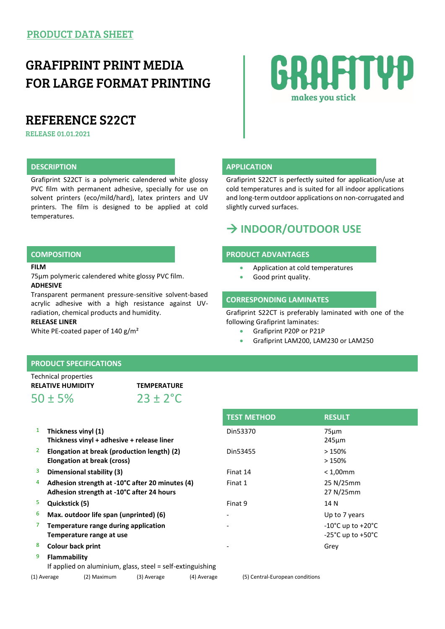## GRAFIPRINT PRINT MEDIA FOR LARGE FORMAT PRINTING

## REFERENCE S22CT

RELEASE 01.01.2021

## **DESCRIPTION APPLICATION**

Grafiprint S22CT is a polymeric calendered white glossy PVC film with permanent adhesive, specially for use on solvent printers (eco/mild/hard), latex printers and UV printers. The film is designed to be applied at cold temperatures.

### **FILM**

75µm polymeric calendered white glossy PVC film. **ADHESIVE**

Transparent permanent pressure-sensitive solvent-based acrylic adhesive with a high resistance against UVradiation, chemical products and humidity.

## **RELEASE LINER**

White PE-coated paper of 140 g/m<sup>2</sup>

# RAFITYP makes you stick

Grafiprint S22CT is perfectly suited for application/use at cold temperatures and is suited for all indoor applications and long-term outdoor applications on non-corrugated and slightly curved surfaces.

## **INDOOR/OUTDOOR USE**

### **COMPOSITION PRODUCT ADVANTAGES**

- Application at cold temperatures
- **Good print quality.**

## **CORRESPONDING LAMINATES**

Grafiprint S22CT is preferably laminated with one of the following Grafiprint laminates:

- Grafiprint P20P or P21P
- Grafiprint LAM200, LAM230 or LAM250

## **PRODUCT SPECIFICATIONS**

| Technical properties     |                      |  |
|--------------------------|----------------------|--|
| <b>RELATIVE HUMIDITY</b> | <b>TEMPERATURE</b>   |  |
| $50 \pm 5\%$             | $23 \pm 2^{\circ}$ C |  |

- 1 **Thickness vinyl (1) Thickness vinyl + adhesive + release liner**
- 2 **Elongation at break (production length) (2) Elongation at break (cross)**
- <sup>3</sup> Dimensional stability (3)
- 4 **Adhesion strength at -10°C after 20 minutes (4) Adhesion strength at -10°C after 24 hours**
- <sup>5</sup> Quickstick (5)
- 6 Max. outdoor life span (unprinted) (6)
- 7 **Temperature range during application Temperature range at use**
- <sup>8</sup> Colour back print
- 9 **Flammability**

If applied on aluminium, glass, steel = self-extinguishing (1) Average (2) Maximum (3) Average (4) Average (5) Central-European conditions

| <b>TEST METHOD</b> | <b>RESULT</b>                         |
|--------------------|---------------------------------------|
| Din53370           | $75 \mu m$                            |
|                    | $245 \mu m$                           |
| Din53455           | >150%                                 |
|                    | >150%                                 |
| Finat 14           | $< 1,00$ mm                           |
| Finat 1            | 25 N/25mm                             |
|                    | 27 N/25mm                             |
| Finat 9            | 14 N                                  |
|                    | Up to 7 years                         |
|                    | $-10^{\circ}$ C up to $+20^{\circ}$ C |
|                    | -25°C up to +50°C                     |
|                    | Grev                                  |